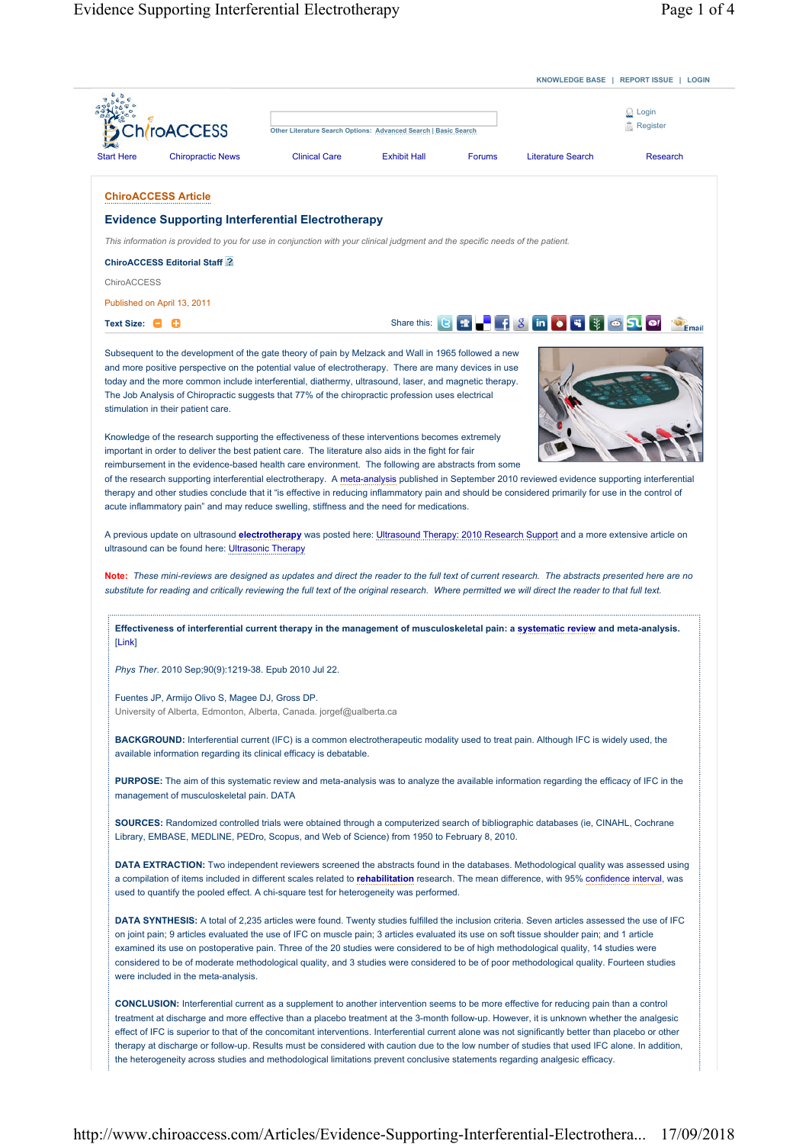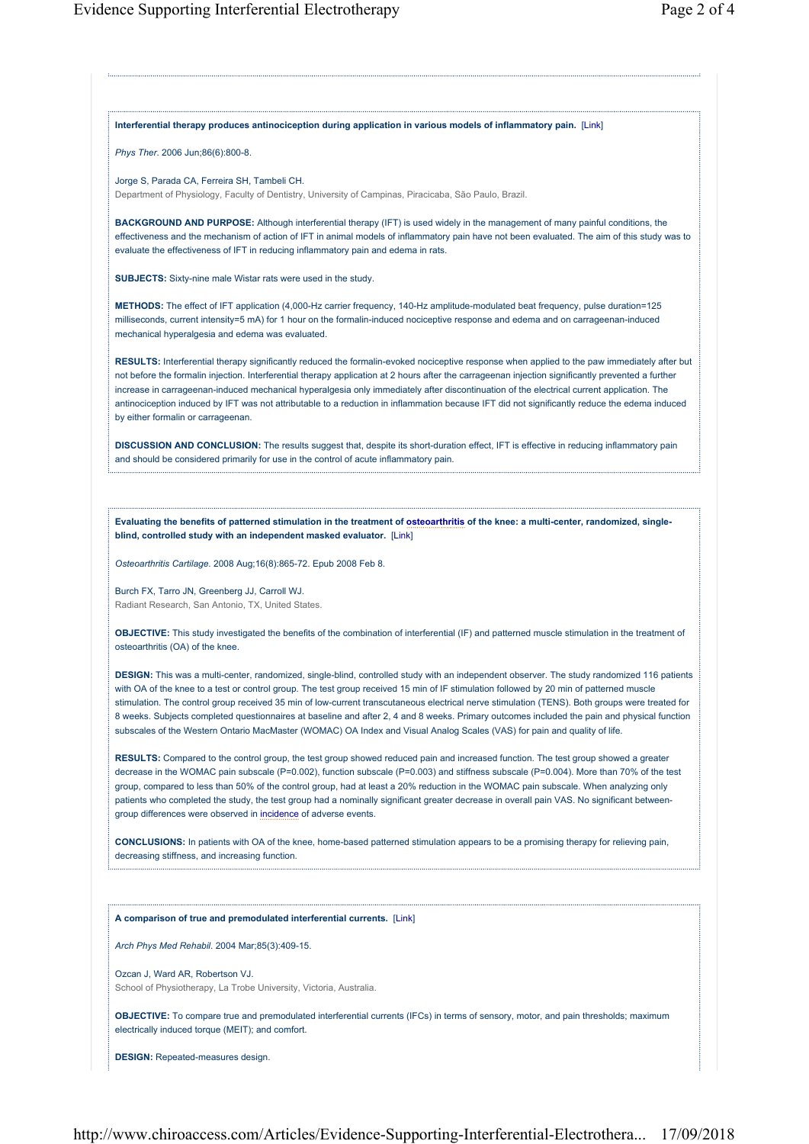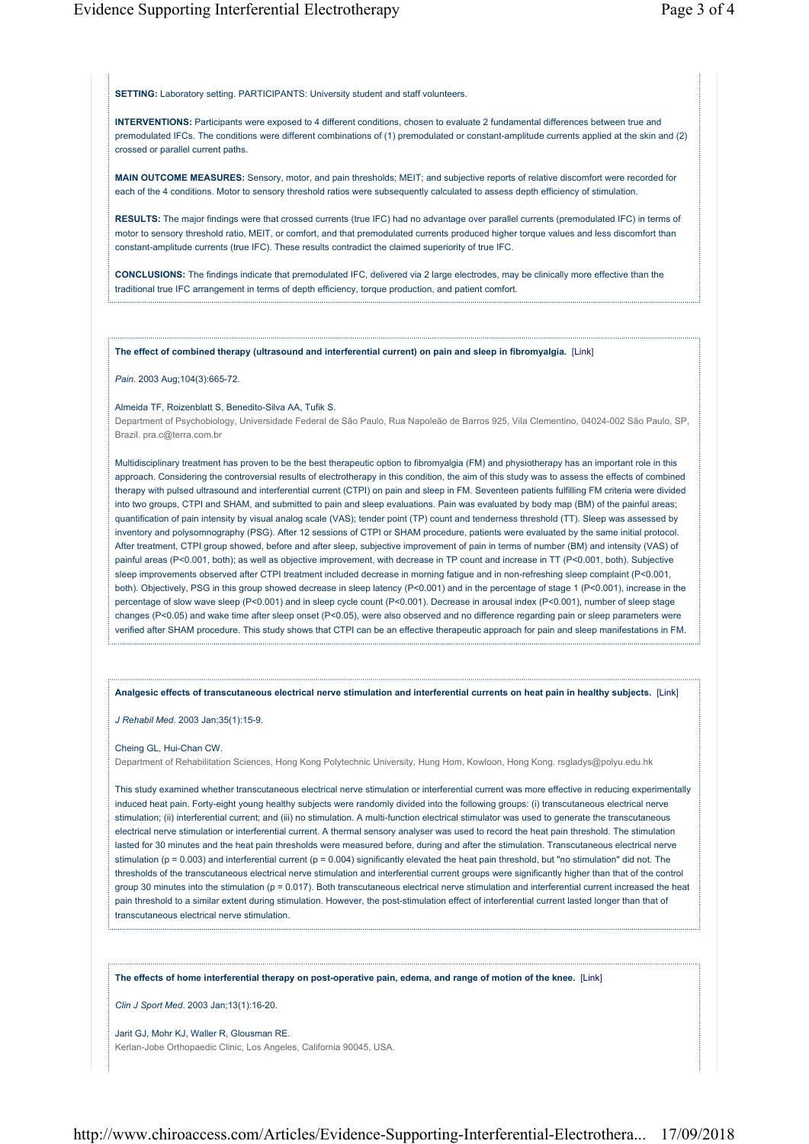**SETTING:** Laboratory setting. PARTICIPANTS: University student and staff volunteers.

**INTERVENTIONS:** Participants were exposed to 4 different conditions, chosen to evaluate 2 fundamental differences between true and premodulated IFCs. The conditions were different combinations of (1) premodulated or constant-amplitude currents applied at the skin and (2) crossed or parallel current paths.

**MAIN OUTCOME MEASURES:** Sensory, motor, and pain thresholds; MEIT; and subjective reports of relative discomfort were recorded for each of the 4 conditions. Motor to sensory threshold ratios were subsequently calculated to assess depth efficiency of stimulation.

**RESULTS:** The major findings were that crossed currents (true IFC) had no advantage over parallel currents (premodulated IFC) in terms of motor to sensory threshold ratio, MEIT, or comfort, and that premodulated currents produced higher torque values and less discomfort than constant-amplitude currents (true IFC). These results contradict the claimed superiority of true IFC.

**CONCLUSIONS:** The findings indicate that premodulated IFC, delivered via 2 large electrodes, may be clinically more effective than the traditional true IFC arrangement in terms of depth efficiency, torque production, and patient comfort.

**The effect of combined therapy (ultrasound and interferential current) on pain and sleep in fibromyalgia.** [Link]

*Pain*. 2003 Aug;104(3):665-72.

## Almeida TF, Roizenblatt S, Benedito-Silva AA, Tufik S.

Department of Psychobiology, Universidade Federal de São Paulo, Rua Napoleão de Barros 925, Vila Clementino, 04024-002 São Paulo, SP, Brazil. pra.c@terra.com.br

Multidisciplinary treatment has proven to be the best therapeutic option to fibromyalgia (FM) and physiotherapy has an important role in this approach. Considering the controversial results of electrotherapy in this condition, the aim of this study was to assess the effects of combined therapy with pulsed ultrasound and interferential current (CTPI) on pain and sleep in FM. Seventeen patients fulfilling FM criteria were divided into two groups, CTPI and SHAM, and submitted to pain and sleep evaluations. Pain was evaluated by body map (BM) of the painful areas; quantification of pain intensity by visual analog scale (VAS); tender point (TP) count and tenderness threshold (TT). Sleep was assessed by inventory and polysomnography (PSG). After 12 sessions of CTPI or SHAM procedure, patients were evaluated by the same initial protocol. After treatment, CTPI group showed, before and after sleep, subjective improvement of pain in terms of number (BM) and intensity (VAS) of painful areas (P<0.001, both); as well as objective improvement, with decrease in TP count and increase in TT (P<0.001, both). Subjective sleep improvements observed after CTPI treatment included decrease in morning fatigue and in non-refreshing sleep complaint (P<0.001, both). Objectively, PSG in this group showed decrease in sleep latency (P<0.001) and in the percentage of stage 1 (P<0.001), increase in the percentage of slow wave sleep (P<0.001) and in sleep cycle count (P<0.001). Decrease in arousal index (P<0.001), number of sleep stage changes (P<0.05) and wake time after sleep onset (P<0.05), were also observed and no difference regarding pain or sleep parameters were verified after SHAM procedure. This study shows that CTPI can be an effective therapeutic approach for pain and sleep manifestations in FM.

**Analgesic effects of transcutaneous electrical nerve stimulation and interferential currents on heat pain in healthy subjects.** [Link]

## *J Rehabil Med*. 2003 Jan;35(1):15-9.

## Cheing GL, Hui-Chan CW.

Department of Rehabilitation Sciences, Hong Kong Polytechnic University, Hung Hom, Kowloon, Hong Kong. rsgladys@polyu.edu.hk

This study examined whether transcutaneous electrical nerve stimulation or interferential current was more effective in reducing experimentally induced heat pain. Forty-eight young healthy subjects were randomly divided into the following groups: (i) transcutaneous electrical nerve stimulation; (ii) interferential current; and (iii) no stimulation. A multi-function electrical stimulator was used to generate the transcutaneous electrical nerve stimulation or interferential current. A thermal sensory analyser was used to record the heat pain threshold. The stimulation lasted for 30 minutes and the heat pain thresholds were measured before, during and after the stimulation. Transcutaneous electrical nerve stimulation ( $p = 0.003$ ) and interferential current ( $p = 0.004$ ) significantly elevated the heat pain threshold, but "no stimulation" did not. The thresholds of the transcutaneous electrical nerve stimulation and interferential current groups were significantly higher than that of the control group 30 minutes into the stimulation (p = 0.017). Both transcutaneous electrical nerve stimulation and interferential current increased the heat pain threshold to a similar extent during stimulation. However, the post-stimulation effect of interferential current lasted longer than that of transcutaneous electrical nerve stimulation.

**The effects of home interferential therapy on post-operative pain, edema, and range of motion of the knee.** [Link]

*Clin J Sport Med*. 2003 Jan;13(1):16-20.

Jarit GJ, Mohr KJ, Waller R, Glousman RE. Kerlan-Jobe Orthopaedic Clinic, Los Angeles, California 90045, USA.